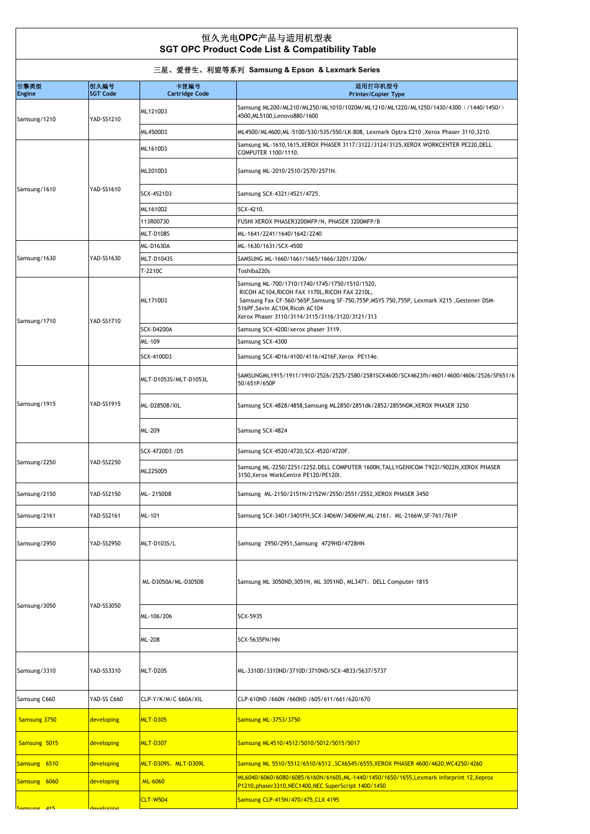## 恒久光电**OPC**产品与适用机型表  **SGT OPC Product Code List & Compatibility Table**

| 三星、爱普生、利盟等系列 Samsung & Epson & Lexmark Series |                         |                               |                                                                                                                                                                                                                                                                                |  |
|-----------------------------------------------|-------------------------|-------------------------------|--------------------------------------------------------------------------------------------------------------------------------------------------------------------------------------------------------------------------------------------------------------------------------|--|
| 引擎类型<br><b>Engine</b>                         | 恒久编号<br><b>SGT Code</b> | 卡匣编号<br><b>Cartridge Code</b> | 适用打印机型号<br><b>Printer/Copier Type</b>                                                                                                                                                                                                                                          |  |
| Samsung/1210                                  | YAD-SS1210              | ML1210D3                      | Samsung ML200/ML210/ML250/ML1010/1020M/ML1210/ML1220/ML1250/1430/4300 (/1440/1450/)<br>4500, ML5100, Lenovo880/1600                                                                                                                                                            |  |
|                                               |                         | ML4500D3                      | ML4500/ML4600,ML-5100/530/535/550/LK-808, Lexmark Optra E210 ,Xerox Phaser 3110,3210.                                                                                                                                                                                          |  |
| Samsung/1610                                  | YAD-SS1610              | ML1610D3                      | Samsung ML-1610,1615, XEROX PHASER 3117/3122/3124/3125, XEROX WORKCENTER PE220, DELL<br>COMPUTER 1100/1110.                                                                                                                                                                    |  |
|                                               |                         | ML2010D3                      | Samsung ML-2010/2510/2570/2571N.                                                                                                                                                                                                                                               |  |
|                                               |                         | SCX-4521D3                    | Samsung SCX-4321/4521/4725.                                                                                                                                                                                                                                                    |  |
|                                               |                         | ML1610D2                      | SCX-4210.                                                                                                                                                                                                                                                                      |  |
|                                               |                         | 113R00730                     | FUSHI XEROX PHASER3200MFP/N, PHASER 3200MFP/B                                                                                                                                                                                                                                  |  |
|                                               |                         | MLT-D108S                     | ML-1641/2241/1640/1642/2240                                                                                                                                                                                                                                                    |  |
| Samsung/1630                                  | YAD-SS1630              | ML-D1630A                     | ML-1630/1631/SCX-4500                                                                                                                                                                                                                                                          |  |
|                                               |                         | <b>MLT-D1043S</b>             | SAMSUNG ML-1660/1661/1665/1666/3201/3206/                                                                                                                                                                                                                                      |  |
|                                               |                         | T-2210C                       | Toshiba220s                                                                                                                                                                                                                                                                    |  |
|                                               | <b>YAD-SS1710</b>       | ML1710D3                      | Samsung ML-700/1710/1740/1745/1750/1510/1520,<br>RICOH AC104, RICOH FAX 1170L, RICOH FAX 2210L,<br>Samsung Fax CF-560/565P,Samsung SF-750,755P,MSYS 750,755P, Lexmark X215, Gestener DSM-<br>516PF, Savin AC104, Ricoh AC104<br>Xerox Phaser 3110/3114/3115/3116/3120/3121/313 |  |
| Samsung/1710                                  |                         | <b>SCX-D4200A</b>             | Samsung SCX-4200/xerox phaser 3119.                                                                                                                                                                                                                                            |  |
|                                               |                         | ML-109                        | Samsung SCX-4300                                                                                                                                                                                                                                                               |  |
|                                               |                         | SCX-4100D3                    | Samsung SCX-4016/4100/4116/4216F, Xerox PE114e.                                                                                                                                                                                                                                |  |
| Samsung/1915                                  | <b>YAD-SS1915</b>       | MLT-D1053S/MLT-D1053L         | SAMSUNGML1915/1911/1910/2526/2525/2580/2581SCX4600/SCX4623fh/4601/4600/4606/2526/SF651/6<br>50/651P/650P                                                                                                                                                                       |  |
|                                               |                         | ML-D2850B/XIL                 | Samsung SCX-4828/4858, Samsung ML2850/2851dk/2852/2855NDK, XEROX PHASER 3250                                                                                                                                                                                                   |  |
|                                               |                         | ML-209                        | Samsung SCX-4824                                                                                                                                                                                                                                                               |  |
|                                               | YAD-SS2250              | SCX-4720D3 /D5                | Samsung SCX-4520/4720, SCX-4520/4720F.                                                                                                                                                                                                                                         |  |
| Samsung/2250                                  |                         | ML2250D5                      | Samsung ML-2250/2251/2252.DELL COMPUTER 1600N, TALLYGENICOM T922I/9022N, XEROX PHASER<br>3150, Xerox WorkCentre PE120/PE120I.                                                                                                                                                  |  |
| Samsung/2150                                  | YAD-SS2150              | ML-2150D8                     | Samsung ML-2150/2151N/2152W/2550/2551/2552, XEROX PHASER 3450                                                                                                                                                                                                                  |  |
| Samsung/2161                                  | YAD-SS2161              | <b>ML-101</b>                 | Samsung SCX-3401/3401FH, SCX-3406W/3406HW, ML-2161, ML-2166W, SF-761/761P                                                                                                                                                                                                      |  |
| Samsung/2950                                  | <b>YAD-SS2950</b>       | <b>MLT-D103S/L</b>            | Samsung 2950/2951, Samsung 4729HD/4728HN                                                                                                                                                                                                                                       |  |
| Samsung/3050                                  | YAD-SS3050              | ML-D3050A/ML-D3050B           | Samsung ML 3050ND, 3051N, ML 3051ND, ML3471, DELL Computer 1815                                                                                                                                                                                                                |  |
|                                               |                         | ML-106/206                    | SCX-5935                                                                                                                                                                                                                                                                       |  |
|                                               |                         | ML-208                        | SCX-5635FN/HN                                                                                                                                                                                                                                                                  |  |
| Samsung/3310                                  | YAD-SS3310              | <b>MLT-D205</b>               | ML-3310D/3310ND/3710D/3710ND/SCX-4833/5637/5737                                                                                                                                                                                                                                |  |
| Samsung C660                                  | YAD-SS C660             | CLP-Y/K/M/C 660A/XIL          | CLP-610ND /660N /660ND /605/611/661/620/670                                                                                                                                                                                                                                    |  |
| Samsung 3750                                  | developing              | <b>MLT-D305</b>               | Samsung ML-3753/3750                                                                                                                                                                                                                                                           |  |
| Samsung 5015                                  | developing              | <b>MLT-D307</b>               | Samsung ML4510/4512/5010/5012/5015/5017                                                                                                                                                                                                                                        |  |
| Samsung 6510                                  | developing              | MLT-D309S,MLT-D309L           | Samsung ML 5510/5512/6510/6512 ,SCX6545/6555,XEROX PHASER 4600/4620,WC4250/4260                                                                                                                                                                                                |  |
| Samsung 6060                                  | developing              | <b>ML-6060</b>                | ML6040/6060/6080/6085/6160N/6160S,ML-1440/1450/1650/1655,Lexmark inforprint 12,Xeprox<br>P1210, phaser3310, NEC1400, NEC SuperScript 1400/1450                                                                                                                                 |  |
| Samcund<br>41 <sup>1</sup>                    |                         | <b>CLT-W504</b>               | Samsung CLP-415N/470/475, CLX 4195                                                                                                                                                                                                                                             |  |